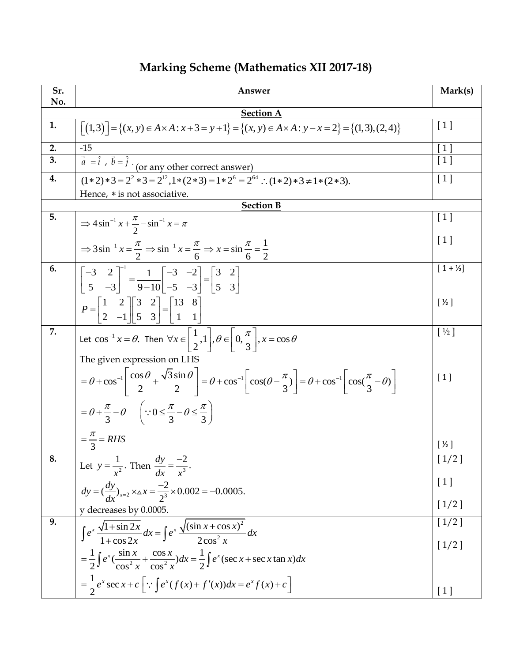## **Marking Scheme (Mathematics XII 2017-18)**

| Sr. | Answer                                                                                                                                                                                                            | Mark(s)             |
|-----|-------------------------------------------------------------------------------------------------------------------------------------------------------------------------------------------------------------------|---------------------|
| No. |                                                                                                                                                                                                                   |                     |
|     | <b>Section A</b>                                                                                                                                                                                                  |                     |
| 1.  | $\left[\left(1,3\right)\right] = \left\{(x,y) \in A \times A : x+3 = y+1\right\} = \left\{(x,y) \in A \times A : y-x = 2\right\} = \left\{(1,3),(2,4)\right\}$                                                    | [1]                 |
| 2.  | $-15$                                                                                                                                                                                                             | $\frac{[1]}{[1]}$   |
| 3.  | $\vec{a} = \hat{i}$ , $\vec{b} = \hat{j}$ · (or any other correct answer)                                                                                                                                         |                     |
| 4.  | $(1 * 2) * 3 = 2^2 * 3 = 2^{12}, 1 * (2 * 3) = 1 * 2^6 = 2^{64}$ : $(1 * 2) * 3 \neq 1 * (2 * 3)$ .                                                                                                               | [1]                 |
|     | Hence, * is not associative.                                                                                                                                                                                      |                     |
|     | <b>Section B</b>                                                                                                                                                                                                  |                     |
| 5.  | $\Rightarrow 4\sin^{-1}x + \frac{\pi}{2} - \sin^{-1}x = \pi$                                                                                                                                                      | [1]                 |
|     |                                                                                                                                                                                                                   | [1]                 |
|     | $\Rightarrow 3\sin^{-1} x = \frac{\pi}{2} \Rightarrow \sin^{-1} x = \frac{\pi}{6} \Rightarrow x = \sin \frac{\pi}{6} = \frac{1}{2}$                                                                               |                     |
| 6.  |                                                                                                                                                                                                                   | $[1 + \frac{1}{2}]$ |
|     | $\begin{bmatrix} -3 & 2 \\ 5 & -3 \end{bmatrix}^{-1} = \frac{1}{9-10} \begin{bmatrix} -3 & -2 \\ -5 & -3 \end{bmatrix} = \begin{bmatrix} 3 & 2 \\ 5 & 3 \end{bmatrix}$                                            |                     |
|     |                                                                                                                                                                                                                   | $[\frac{1}{2}]$     |
|     | $P = \begin{bmatrix} 1 & 2 \\ 2 & -1 \end{bmatrix} \begin{bmatrix} 3 & 2 \\ 5 & 3 \end{bmatrix} = \begin{bmatrix} 13 & 8 \\ 1 & 1 \end{bmatrix}$                                                                  |                     |
| 7.  |                                                                                                                                                                                                                   | $[\frac{1}{2}]$     |
|     | Let $\cos^{-1} x = \theta$ . Then $\forall x \in \left[\frac{1}{2}, 1\right], \theta \in \left[0, \frac{\pi}{3}\right], x = \cos \theta$                                                                          |                     |
|     | The given expression on LHS                                                                                                                                                                                       |                     |
|     | $=\theta + \cos^{-1}\left[\frac{\cos\theta}{2} + \frac{\sqrt{3}\sin\theta}{2}\right] = \theta + \cos^{-1}\left[\cos(\theta - \frac{\pi}{3})\right] = \theta + \cos^{-1}\left[\cos(\frac{\pi}{3} - \theta)\right]$ | $[1]$               |
|     | $=\theta+\frac{\pi}{3}-\theta \quad (\because 0 \leq \frac{\pi}{3}-\theta \leq \frac{\pi}{3})$                                                                                                                    |                     |
|     | $=\frac{\pi}{3}=RHS$                                                                                                                                                                                              |                     |
|     |                                                                                                                                                                                                                   | $[\frac{1}{2}]$     |
| 8.  | Let $y = \frac{1}{x^2}$ . Then $\frac{dy}{dx} = \frac{-2}{x^3}$ .                                                                                                                                                 | $[1/2]$             |
|     | $dy = (\frac{dy}{dx})_{x=2} \times \Delta x = \frac{-2}{2^3} \times 0.002 = -0.0005.$                                                                                                                             | [1]                 |
|     | y decreases by 0.0005.                                                                                                                                                                                            | $[1/2]$             |
| 9.  |                                                                                                                                                                                                                   | $[1/2]$             |
|     | $\int e^x \frac{\sqrt{1 + \sin 2x}}{1 + \cos 2x} dx = \int e^x \frac{\sqrt{(\sin x + \cos x)^2}}{2 \cos^2 x} dx$                                                                                                  |                     |
|     |                                                                                                                                                                                                                   | $[1/2]$             |
|     | $=\frac{1}{2}\int e^x(\frac{\sin x}{\cos^2 x}+\frac{\cos x}{\cos^2 x})dx=\frac{1}{2}\int e^x(\sec x+\sec x\tan x)dx$                                                                                              |                     |
|     | $=\frac{1}{2}e^{x}\sec x+c$ $\left[\because\int e^{x}(f(x)+f'(x))dx=e^{x}f(x)+c\right]$                                                                                                                           |                     |
|     |                                                                                                                                                                                                                   | [1]                 |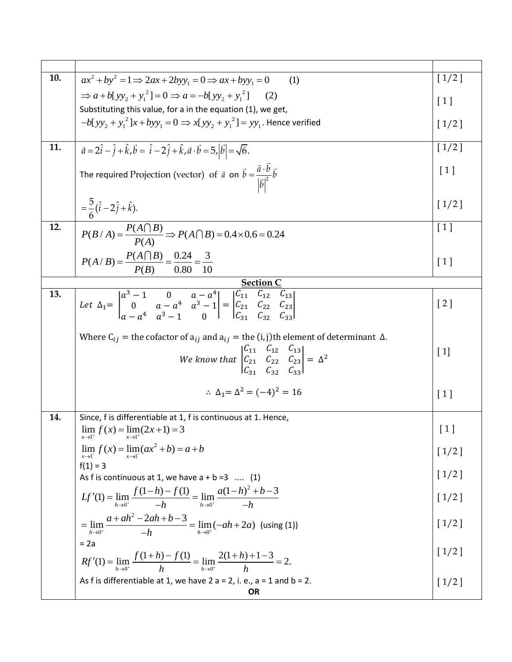| 10. | $ax^2 + by^2 = 1 \implies 2ax + 2byy_1 = 0 \implies ax + byy_1 = 0$<br>(1)                                                                                                                                                                          | $[1/2]$            |
|-----|-----------------------------------------------------------------------------------------------------------------------------------------------------------------------------------------------------------------------------------------------------|--------------------|
|     | $\Rightarrow a+b[yy_2+y_1^2]=0 \Rightarrow a=-b[yy_2+y_1^2]$<br>(2)                                                                                                                                                                                 | $\lceil 1 \rceil$  |
|     | Substituting this value, for a in the equation (1), we get,<br>$-b[yy, +y_1^2]x + byy_1 = 0 \implies x[yy_2 + y_1^2] = yy_1$ . Hence verified                                                                                                       | $[1/2]$            |
|     |                                                                                                                                                                                                                                                     |                    |
| 11. | $\vec{a} = 2\hat{i} - \hat{j} + \hat{k}$ , $\vec{b} = \hat{i} - 2\hat{j} + \hat{k}$ , $\vec{a} \cdot \vec{b} = 5$ , $ \vec{b}  = \sqrt{6}$ .                                                                                                        | $[1/2]$            |
|     | The required Projection (vector) of $\vec{a}$ on $\vec{b} = \frac{\vec{a} \cdot \vec{b}}{ \vec{b} ^2} \vec{b}$                                                                                                                                      | $\lceil 1 \rceil$  |
|     | $=\frac{5}{6}(\hat{i}-2\hat{j}+\hat{k}).$                                                                                                                                                                                                           | $[1/2]$            |
| 12. | $P(B/A) = \frac{P(A \cap B)}{P(A)} \Rightarrow P(A \cap B) = 0.4 \times 0.6 = 0.24$                                                                                                                                                                 | $\lceil 1 \rceil$  |
|     | $P(A/B) = \frac{P(A \cap B)}{P(B)} = \frac{0.24}{0.80} = \frac{3}{10}$                                                                                                                                                                              | $\lceil 1 \rceil$  |
|     | <u>Section (</u>                                                                                                                                                                                                                                    |                    |
| 13. | Let $\Delta_1 = \begin{vmatrix} a^3 - 1 & 0 & a - a^4 \ 0 & a - a^4 & a^3 - 1 \end{vmatrix} = \begin{vmatrix} C_{11} & C_{12} & C_{13} \ C_{21} & C_{22} & C_{23} \ C & C & C \end{vmatrix}$                                                        | $\left[ 2 \right]$ |
|     | Where $C_{ij}$ = the cofactor of $a_{ij}$ and $a_{ij}$ = the (i, j)th element of determinant $\Delta$ .<br>We know that $\begin{vmatrix} C_{11} & C_{12} & C_{13} \\ C_{21} & C_{22} & C_{23} \\ C_{21} & C_{22} & C_{23} \end{vmatrix} = \Delta^2$ | $[1]$              |
|     | $\therefore \Delta_1 = \Delta^2 = (-4)^2 = 16$                                                                                                                                                                                                      | $\lceil 1 \rceil$  |
| 14. | Since, f is differentiable at 1, f is continuous at 1. Hence,                                                                                                                                                                                       |                    |
|     | $\lim_{x\to 1^+} f(x) = \lim_{x\to 1^+} (2x+1) = 3$                                                                                                                                                                                                 | $[1]$              |
|     | $\lim_{x\to 1^{-}} f(x) = \lim_{x\to 1^{-}} (ax^{2} + b) = a + b$                                                                                                                                                                                   | $[1/2]$            |
|     | $f(1) = 3$<br>As f is continuous at 1, we have $a + b = 3$ (1)                                                                                                                                                                                      | $[1/2]$            |
|     | $Lf'(1) = \lim_{h \to 0^+} \frac{f(1-h) - f(1)}{-h} = \lim_{h \to 0^+} \frac{a(1-h)^2 + b - 3}{-h}$                                                                                                                                                 | $\left[1/2\right]$ |
|     | $=\lim_{h\to 0^+}\frac{a+ah^2-2ah+b-3}{-h}=\lim_{h\to 0^+}(-ah+2a)$ (using (1))                                                                                                                                                                     | $[1/2]$            |
|     | $= 2a$<br>$Rf'(1) = \lim_{h \to 0^+} \frac{f(1+h) - f(1)}{h} = \lim_{h \to 0^+} \frac{2(1+h)+1-3}{h} = 2.$                                                                                                                                          | $[1/2]$            |
|     | As f is differentiable at 1, we have $2 a = 2$ , i. e., $a = 1$ and $b = 2$ .<br><b>OR</b>                                                                                                                                                          | $[1/2]$            |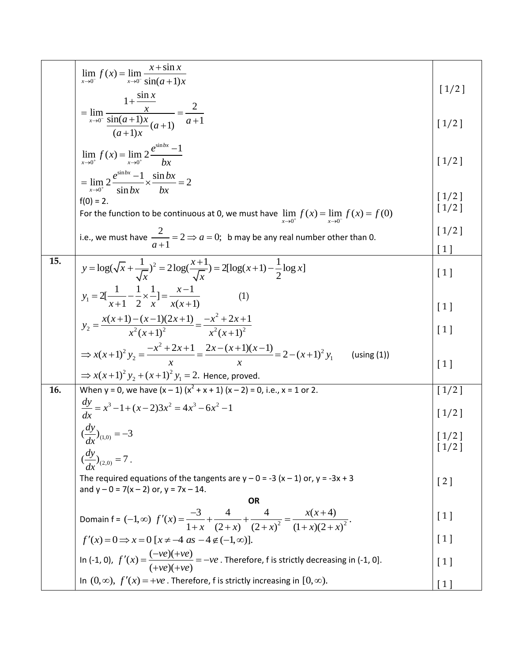|     | $\lim_{x \to 0^{-}} f(x) = \lim_{x \to 0^{-}} \frac{x + \sin x}{\sin(a+1)x}$                                                                                                                                            | $[1/2]$                      |
|-----|-------------------------------------------------------------------------------------------------------------------------------------------------------------------------------------------------------------------------|------------------------------|
|     | $= \lim_{x \to 0^{-}} \frac{1 + \frac{\sin x}{x}}{\frac{\sin(a+1)x}{(a+1)x}(a+1)} = \frac{2}{a+1}$                                                                                                                      | $[1/2]$                      |
|     | $\lim_{x\to 0^+} f(x) = \lim_{x\to 0^+} 2 \frac{e^{\sin bx} - 1}{bx}$                                                                                                                                                   | $[1/2]$                      |
|     | $=\lim_{x\to 0^+}2\frac{e^{\sin bx}-1}{\sin bx}\times\frac{\sin bx}{bx}=2$<br>$f(0) = 2.$                                                                                                                               | $[1/2]$<br>$[1/2]$           |
|     | For the function to be continuous at 0, we must have $\lim_{x\to 0^+} f(x) = \lim_{x\to 0^-} f(x) = f(0)$<br>i.e., we must have $\frac{2}{a+1} = 2 \Rightarrow a = 0$ ; b may be any real number other than 0.          | $[1/2]$<br>$\lceil 1 \rceil$ |
| 15. | $y = \log(\sqrt{x} + \frac{1}{\sqrt{x}})^2 = 2\log(\frac{x+1}{\sqrt{x}}) = 2[\log(x+1) - \frac{1}{2}\log x]$                                                                                                            | $[1]$                        |
|     | $y_1 = 2[\frac{1}{x+1} - \frac{1}{2} \times \frac{1}{x}] = \frac{x-1}{x(x+1)}$<br>(1)                                                                                                                                   | $\lceil 1 \rceil$            |
|     | $y_2 = \frac{x(x+1)-(x-1)(2x+1)}{x^2(x+1)^2} = \frac{-x^2+2x+1}{x^2(x+1)^2}$                                                                                                                                            | [1]                          |
|     | $\Rightarrow$ x(x+1) <sup>2</sup> y <sub>2</sub> = $\frac{-x^2 + 2x + 1}{x}$ = $\frac{2x - (x+1)(x-1)}{x}$ = 2 - (x+1) <sup>2</sup> y <sub>1</sub><br>(using(1))<br>⇒ $x(x+1)^2 y_2 + (x+1)^2 y_1 = 2$ . Hence, proved. | $\lceil 1 \rceil$            |
| 16. | When y = 0, we have $(x - 1)(x^2 + x + 1)(x - 2) = 0$ , i.e., x = 1 or 2.                                                                                                                                               | $[1/2]$                      |
|     | $\frac{dy}{dx} = x^3 - 1 + (x - 2)3x^2 = 4x^3 - 6x^2 - 1$                                                                                                                                                               | $[1/2]$                      |
|     | $\left(\frac{dy}{dx}\right)_{(1,0)} = -3$                                                                                                                                                                               | $\lfloor 1/2 \rfloor$        |
|     | $\left(\frac{dy}{dx}\right)_{(2,0)} = 7$ .<br>The required equations of the tangents are $y - 0 = -3(x - 1)$ or, $y = -3x + 3$<br>and $y - 0 = 7(x - 2)$ or, $y = 7x - 14$ .                                            | [2]                          |
|     | <b>OR</b>                                                                                                                                                                                                               |                              |
|     | Domain f = (-1, $\infty$ ) $f'(x) = \frac{-3}{1+x} + \frac{4}{(2+x)} + \frac{4}{(2+x)^2} = \frac{x(x+4)}{(1+x)(2+x)^2}$ .                                                                                               | [1]                          |
|     | $f'(x)=0 \Rightarrow x=0$ [ $x \neq -4$ as $-4 \notin (-1, \infty)$ ].                                                                                                                                                  | [1]                          |
|     | In (-1, 0), $f'(x) = \frac{(-ve)(+ve)}{(+ve)(+ve)} = -ve$ . Therefore, f is strictly decreasing in (-1, 0].                                                                                                             | [1]                          |
|     | In $(0, \infty)$ , $f'(x) = +ve$ . Therefore, f is strictly increasing in $[0, \infty)$ .                                                                                                                               | $\lceil 1 \rceil$            |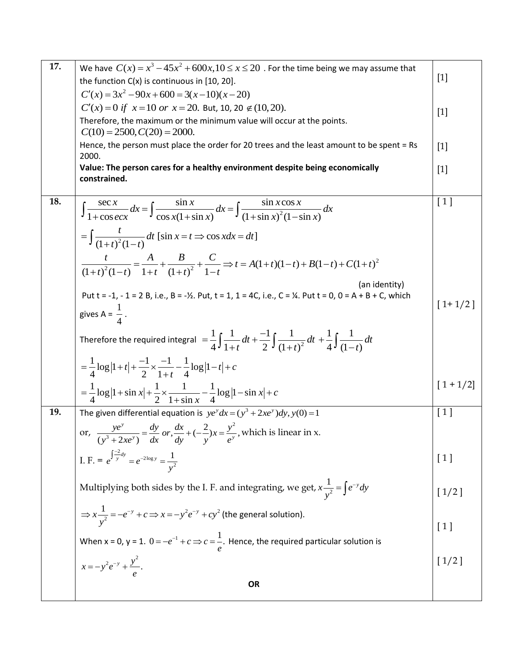| 17. | We have $C(x) = x^3 - 45x^2 + 600x$ , $10 \le x \le 20$ . For the time being we may assume that<br>the function $C(x)$ is continuous in $[10, 20]$ .             | $[1]$       |
|-----|------------------------------------------------------------------------------------------------------------------------------------------------------------------|-------------|
|     | $C'(x) = 3x^2 - 90x + 600 = 3(x-10)(x-20)$                                                                                                                       |             |
|     | $C'(x) = 0$ if $x = 10$ or $x = 20$ . But, 10, 20 $\notin (10, 20)$ .                                                                                            |             |
|     | Therefore, the maximum or the minimum value will occur at the points.                                                                                            | $[1]$       |
|     | $C(10) = 2500, C(20) = 2000.$                                                                                                                                    |             |
|     | Hence, the person must place the order for 20 trees and the least amount to be spent = Rs<br>2000.                                                               | $[1]$       |
|     | Value: The person cares for a healthy environment despite being economically<br>constrained.                                                                     | $[1]$       |
|     |                                                                                                                                                                  |             |
| 18. | $\int \frac{\sec x}{1+\cos ecx} dx = \int \frac{\sin x}{\cos x (1+\sin x)} dx = \int \frac{\sin x \cos x}{(1+\sin x)^2 (1-\sin x)} dx$                           | [1]         |
|     | $=\int \frac{t}{(1+t)^2(1-t)} dt$ [sin $x = t \Rightarrow \cos x dx = dt$ ]                                                                                      |             |
|     | $\frac{t}{(1+t)^2(1-t)} = \frac{A}{1+t} + \frac{B}{(1+t)^2} + \frac{C}{1-t} \Rightarrow t = A(1+t)(1-t) + B(1-t) + C(1+t)^2$                                     |             |
|     | (an identity)<br>Put $t = -1$ , $-1 = 2B$ , i.e., $B = -\frac{1}{2}$ . Put, $t = 1$ , $1 = 4C$ , i.e., $C = \frac{1}{4}$ . Put $t = 0$ , $0 = A + B + C$ , which | $[1+1/2]$   |
|     | gives A = $\frac{1}{4}$ .                                                                                                                                        |             |
|     | Therefore the required integral $=\frac{1}{4}\int \frac{1}{1+t}dt + \frac{-1}{2}\int \frac{1}{(1+t)^2}dt + \frac{1}{4}\int \frac{1}{(1-t)}dt$                    |             |
|     | $=\frac{1}{4}\log 1+t +\frac{-1}{2}\times\frac{-1}{1+t}-\frac{1}{4}\log 1-t +c$                                                                                  |             |
|     | $=\frac{1}{4}\log  1+\sin x +\frac{1}{2}\times \frac{1}{1+\sin x}-\frac{1}{4}\log  1-\sin x +c$                                                                  | $[1 + 1/2]$ |
| 19. | The given differential equation is $ye^{y} dx = (y^{3} + 2xe^{y})dy$ , $y(0) = 1$                                                                                | [1]         |
|     | or, $\frac{ye^y}{(y^3 + 2xe^y)} = \frac{dy}{dx}$ or, $\frac{dx}{dy} + (-\frac{2}{y})x = \frac{y^2}{e^y}$ , which is linear in x.                                 |             |
|     | I. F. = $e^{\int \frac{-2}{y}dy} = e^{-2\log y} = \frac{1}{y^2}$                                                                                                 | [1]         |
|     | Multiplying both sides by the I. F. and integrating, we get, $x \frac{1}{v^2} = \int e^{-y} dy$                                                                  | $[1/2]$     |
|     | $\Rightarrow x\frac{1}{v^2} = -e^{-y} + c \Rightarrow x = -y^2e^{-y} + cy^2$ (the general solution).                                                             | [1]         |
|     | When x = 0, y = 1. $0 = -e^{-1} + c$ $\Rightarrow$ $c = \frac{1}{e}$ . Hence, the required particular solution is                                                |             |
|     | $x = -y^2 e^{-y} + \frac{y^2}{e}$ .                                                                                                                              | $[1/2]$     |
|     | <b>OR</b>                                                                                                                                                        |             |
|     |                                                                                                                                                                  |             |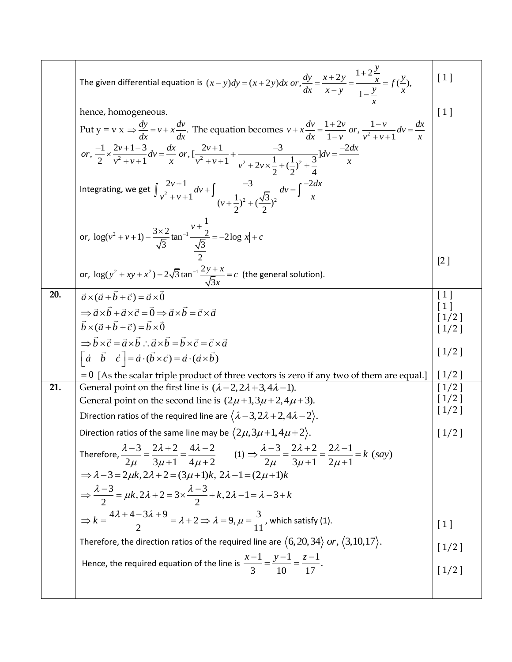|     | The given differential equation is $(x - y)dy = (x + 2y)dx$ or, $\frac{dy}{dx} = \frac{x + 2y}{x - y} = \frac{1 + 2y}{1 - y} = f(\frac{y}{x})$ ,                                                                           | [1]                                             |
|-----|----------------------------------------------------------------------------------------------------------------------------------------------------------------------------------------------------------------------------|-------------------------------------------------|
|     | hence, homogeneous.<br>Put $y = v x \Rightarrow \frac{dy}{dx} = v + x \frac{dv}{dx}$ . The equation becomes $v + x \frac{dv}{dx} = \frac{1+2v}{1-v}$ or, $\frac{1-v}{v^2 + v + 1} dv = \frac{dx}{x}$                       | $\lceil 1 \rceil$                               |
|     | or, $\frac{-1}{2} \times \frac{2v+1-3}{v^2+v+1}dv = \frac{dx}{x}$ or, $\left[\frac{2v+1}{v^2+v+1} + \frac{-3}{v^2+2v \times \frac{1}{2} + (\frac{1}{2})^2 + \frac{3}{4}}\right]dv = \frac{-2dx}{x}$                        |                                                 |
|     | Integrating, we get $\int \frac{2v+1}{v^2+v+1} dv + \int \frac{-3}{(v+\frac{1}{2})^2+(\frac{\sqrt{3}}{2})^2} dv = \int \frac{-2ax}{x}$                                                                                     |                                                 |
|     | or, $\log(v^2 + v + 1) - \frac{3 \times 2}{\sqrt{3}} \tan^{-1} \frac{v + \frac{1}{2}}{\frac{\sqrt{3}}{2}} = -2\log x  + c$                                                                                                 |                                                 |
|     | or, $\log(y^2 + xy + x^2) - 2\sqrt{3} \tan^{-1} \frac{2y + x}{\sqrt{3}x} = c$ (the general solution).                                                                                                                      | [2]                                             |
| 20. | $\vec{a}\times(\vec{a}+\vec{b}+\vec{c})=\vec{a}\times\vec{0}$                                                                                                                                                              | $\lceil 1 \rceil$                               |
|     | $\Rightarrow \vec{a} \times \vec{b} + \vec{a} \times \vec{c} = \vec{0} \Rightarrow \vec{a} \times \vec{b} = \vec{c} \times \vec{a}$                                                                                        |                                                 |
|     | $\vec{b} \times (\vec{a} + \vec{b} + \vec{c}) = \vec{b} \times \vec{0}$                                                                                                                                                    | $\begin{bmatrix} 1 \\ 1/2 \\ 1/2 \end{bmatrix}$ |
|     | $\Rightarrow \vec{b} \times \vec{c} = \vec{a} \times \vec{b} \therefore \vec{a} \times \vec{b} = \vec{b} \times \vec{c} = \vec{c} \times \vec{a}$                                                                          |                                                 |
|     | $\begin{bmatrix} \vec{a} & \vec{b} & \vec{c} \end{bmatrix} = \vec{a} \cdot (\vec{b} \times \vec{c}) = \vec{a} \cdot (\vec{a} \times \vec{b})$                                                                              | $[1/2]$                                         |
|     | $= 0$ [As the scalar triple product of three vectors is zero if any two of them are equal.]                                                                                                                                | $[1/2]$                                         |
| 21. | General point on the first line is $(\lambda - 2, 2\lambda + 3, 4\lambda - 1)$ .                                                                                                                                           | [1/2]<br>[1/2]                                  |
|     | General point on the second line is $(2\mu+1,3\mu+2,4\mu+3)$ .                                                                                                                                                             | $\left[1/2\right]$                              |
|     | Direction ratios of the required line are $(\lambda-3, 2\lambda+2, 4\lambda-2)$ .                                                                                                                                          |                                                 |
|     | Direction ratios of the same line may be $\langle 2\mu, 3\mu+1, 4\mu+2 \rangle$ .                                                                                                                                          | $[1/2]$                                         |
|     | Therefore, $\frac{\lambda - 3}{2\mu} = \frac{2\lambda + 2}{3\mu + 1} = \frac{4\lambda - 2}{4\mu + 2}$ (1) $\Rightarrow \frac{\lambda - 3}{2\mu} = \frac{2\lambda + 2}{3\mu + 1} = \frac{2\lambda - 1}{2\mu + 1} = k$ (say) |                                                 |
|     | $\Rightarrow \lambda - 3 = 2\mu k, 2\lambda + 2 = (3\mu + 1)k, 2\lambda - 1 = (2\mu + 1)k$                                                                                                                                 |                                                 |
|     | $\Rightarrow \frac{\lambda-3}{2} = \mu k, 2\lambda + 2 = 3 \times \frac{\lambda-3}{2} + k, 2\lambda - 1 = \lambda - 3 + k$                                                                                                 |                                                 |
|     | $\Rightarrow k = \frac{4\lambda + 4 - 3\lambda + 9}{2} = \lambda + 2 \Rightarrow \lambda = 9, \mu = \frac{3}{11}$ , which satisfy (1).                                                                                     | [1]                                             |
|     | Therefore, the direction ratios of the required line are $\langle 6, 20, 34 \rangle$ or, $\langle 3, 10, 17 \rangle$ .                                                                                                     | $[1/2]$                                         |
|     | Hence, the required equation of the line is $\frac{x-1}{3} = \frac{y-1}{10} = \frac{z-1}{17}$ .                                                                                                                            |                                                 |
|     |                                                                                                                                                                                                                            | $[1/2]$                                         |
|     |                                                                                                                                                                                                                            |                                                 |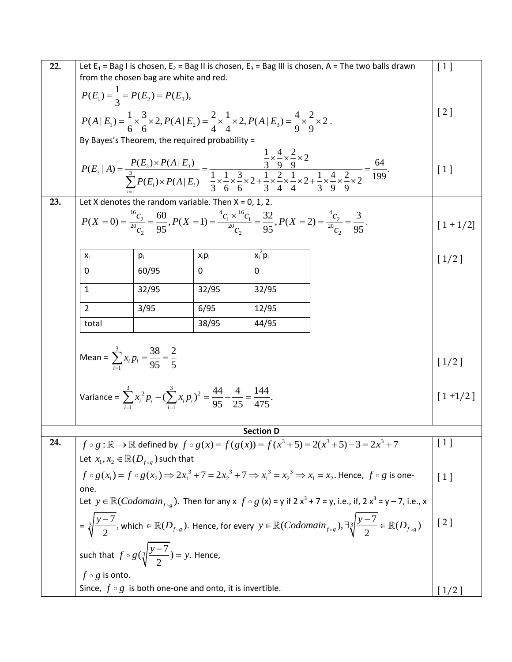| 22. | Let $E_1$ = Bag I is chosen, $E_2$ = Bag II is chosen, $E_3$ = Bag III is chosen, A = The two balls drawn<br>from the chosen bag are white and red.                                                  |       |                                                         |                                                                                                                                                                                                                                                                                                                                                                   | [1]              |
|-----|------------------------------------------------------------------------------------------------------------------------------------------------------------------------------------------------------|-------|---------------------------------------------------------|-------------------------------------------------------------------------------------------------------------------------------------------------------------------------------------------------------------------------------------------------------------------------------------------------------------------------------------------------------------------|------------------|
|     | $P(E_1) = \frac{1}{3} = P(E_2) = P(E_3),$                                                                                                                                                            |       |                                                         |                                                                                                                                                                                                                                                                                                                                                                   |                  |
|     |                                                                                                                                                                                                      |       |                                                         | [2]                                                                                                                                                                                                                                                                                                                                                               |                  |
|     | $P(A   E_1) = \frac{1}{6} \times \frac{3}{6} \times 2, P(A   E_2) = \frac{2}{4} \times \frac{1}{4} \times 2, P(A   E_3) = \frac{4}{9} \times \frac{2}{9} \times 2.$                                  |       |                                                         |                                                                                                                                                                                                                                                                                                                                                                   |                  |
|     |                                                                                                                                                                                                      |       | By Bayes's Theorem, the required probability =          |                                                                                                                                                                                                                                                                                                                                                                   |                  |
|     |                                                                                                                                                                                                      |       |                                                         | $\frac{1}{2} \times \frac{4}{2} \times \frac{2}{2} \times 2$                                                                                                                                                                                                                                                                                                      |                  |
|     |                                                                                                                                                                                                      |       |                                                         |                                                                                                                                                                                                                                                                                                                                                                   | [1]              |
|     |                                                                                                                                                                                                      |       |                                                         | $P(E_3   A) = \frac{P(E_3) \times P(A   E_3)}{\sum_{i=1}^3 P(E_i) \times P(A   E_i)} = \frac{\frac{1}{3} \times \frac{1}{9} \times \frac{2}{9} \times 2}{\frac{1}{3} \times \frac{1}{6} \times \frac{3}{6} \times 2 + \frac{1}{3} \times \frac{2}{4} \times \frac{1}{4} \times 2 + \frac{1}{3} \times \frac{4}{9} \times \frac{2}{9} \times 2} = \frac{64}{199}.$ |                  |
| 23. |                                                                                                                                                                                                      |       | Let X denotes the random variable. Then $X = 0$ , 1, 2. |                                                                                                                                                                                                                                                                                                                                                                   |                  |
|     | $P(X = 0) = \frac{{}^{16}C_2}{{}^{20}C_2} = \frac{60}{95}, P(X = 1) = \frac{{}^{4}C_1 \times {}^{16}C_1}{{}^{20}C_2} = \frac{32}{95}, P(X = 2) = \frac{{}^{4}C_2}{{}^{20}C_2} = \frac{3}{95}.$       |       |                                                         | $[1 + 1/2]$                                                                                                                                                                                                                                                                                                                                                       |                  |
|     |                                                                                                                                                                                                      |       |                                                         |                                                                                                                                                                                                                                                                                                                                                                   |                  |
|     | X <sub>i</sub>                                                                                                                                                                                       | $p_i$ | $x_i p_i$                                               | $x_i^2 p_i$                                                                                                                                                                                                                                                                                                                                                       | $[1/2]$          |
|     | $\Omega$                                                                                                                                                                                             | 60/95 | $\Omega$                                                | $\mathbf{0}$                                                                                                                                                                                                                                                                                                                                                      |                  |
|     | $\mathbf{1}$                                                                                                                                                                                         | 32/95 | 32/95                                                   | 32/95                                                                                                                                                                                                                                                                                                                                                             |                  |
|     | $\overline{2}$                                                                                                                                                                                       | 3/95  | 6/95                                                    | 12/95                                                                                                                                                                                                                                                                                                                                                             |                  |
|     | total                                                                                                                                                                                                |       | 38/95                                                   | 44/95                                                                                                                                                                                                                                                                                                                                                             |                  |
|     |                                                                                                                                                                                                      |       |                                                         |                                                                                                                                                                                                                                                                                                                                                                   |                  |
|     | Mean = $\sum x_i p_i = \frac{38}{95} = \frac{2}{5}$                                                                                                                                                  |       |                                                         | $[1/2]$                                                                                                                                                                                                                                                                                                                                                           |                  |
|     |                                                                                                                                                                                                      |       |                                                         |                                                                                                                                                                                                                                                                                                                                                                   |                  |
|     |                                                                                                                                                                                                      |       |                                                         | $[1+1/2]$                                                                                                                                                                                                                                                                                                                                                         |                  |
|     | Variance = $\sum_{i=1}^{3} x_i^2 p_i - (\sum_{i=1}^{3} x_i p_i)^2 = \frac{44}{95} - \frac{4}{25} = \frac{144}{475}$ .                                                                                |       |                                                         |                                                                                                                                                                                                                                                                                                                                                                   |                  |
|     |                                                                                                                                                                                                      |       |                                                         |                                                                                                                                                                                                                                                                                                                                                                   |                  |
| 24. |                                                                                                                                                                                                      |       |                                                         | <b>Section D</b>                                                                                                                                                                                                                                                                                                                                                  | $\left[1\right]$ |
|     | $f \circ g : \mathbb{R} \to \mathbb{R}$ defined by $f \circ g(x) = f(g(x)) = f(x^3 + 5) = 2(x^3 + 5) - 3 = 2x^3 + 7$                                                                                 |       |                                                         |                                                                                                                                                                                                                                                                                                                                                                   |                  |
|     | Let $x_1, x_2 \in \mathbb{R}(D_{f \circ g})$ such that                                                                                                                                               |       |                                                         |                                                                                                                                                                                                                                                                                                                                                                   |                  |
|     | $f \circ g(x_1) = f \circ g(x_2) \implies 2x_1^3 + 7 = 2x_2^3 + 7 \implies x_1^3 = x_2^3 \implies x_1 = x_2$ . Hence, $f \circ g$ is one-                                                            |       |                                                         | $\lceil 1 \rceil$                                                                                                                                                                                                                                                                                                                                                 |                  |
|     | one.<br>Let $y \in \mathbb{R}( Codomain_{f \circ g})$ . Then for any $x \circ g(x) = y$ if $2x^3 + 7 = y$ , i.e., if, $2x^3 = y - 7$ , i.e., x                                                       |       |                                                         |                                                                                                                                                                                                                                                                                                                                                                   |                  |
|     | $\mathcal{E}=\sqrt[3]{\frac{y-7}{2}}$ , which $\in \mathbb{R}(D_{f\circ g})$ . Hence, for every $y\in \mathbb{R}(Codomain_{f\circ g}), \exists \sqrt[3]{\frac{y-7}{2}} \in \mathbb{R}(D_{f\circ g})$ |       |                                                         | [2]                                                                                                                                                                                                                                                                                                                                                               |                  |
|     |                                                                                                                                                                                                      |       |                                                         |                                                                                                                                                                                                                                                                                                                                                                   |                  |
|     | such that $f \circ g(\sqrt[3]{\frac{y-7}{2}}) = y$ . Hence,                                                                                                                                          |       |                                                         |                                                                                                                                                                                                                                                                                                                                                                   |                  |
|     | $f \circ g$ is onto.                                                                                                                                                                                 |       |                                                         |                                                                                                                                                                                                                                                                                                                                                                   |                  |
|     | Since, $f \circ g$ is both one-one and onto, it is invertible.                                                                                                                                       |       |                                                         | $\left\lceil \frac{1}{2} \right\rceil$                                                                                                                                                                                                                                                                                                                            |                  |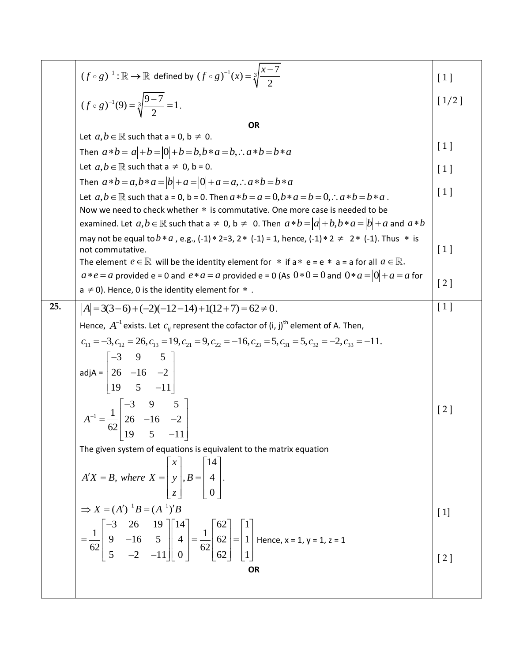|     | $(f \circ g)^{-1} : \mathbb{R} \to \mathbb{R}$ defined by $(f \circ g)^{-1}(x) = \sqrt[3]{\frac{x-7}{2}}$                                                                                                                                                              | $\lceil 1 \rceil$  |
|-----|------------------------------------------------------------------------------------------------------------------------------------------------------------------------------------------------------------------------------------------------------------------------|--------------------|
|     | $(f \circ g)^{-1}(9) = \sqrt[3]{\frac{9-7}{2}} = 1.$                                                                                                                                                                                                                   | $[1/2]$            |
|     | OR                                                                                                                                                                                                                                                                     |                    |
|     | Let $a, b \in \mathbb{R}$ such that $a = 0$ , $b \neq 0$ .                                                                                                                                                                                                             |                    |
|     | Then $a * b =  a  + b =  0  + b = b$ , $b * a = b$ , $\therefore a * b = b * a$                                                                                                                                                                                        | [1]                |
|     | Let $a, b \in \mathbb{R}$ such that $a \neq 0$ , $b = 0$ .                                                                                                                                                                                                             | $\lceil 1 \rceil$  |
|     | Then $a * b = a, b * a =  b  + a =  0  + a = a, \therefore a * b = b * a$                                                                                                                                                                                              |                    |
|     | Let $a, b \in \mathbb{R}$ such that a = 0, b = 0. Then $a * b = a = 0$ , $b * a = b = 0$ , $\therefore a * b = b * a$ .                                                                                                                                                | [1]                |
|     | Now we need to check whether * is commutative. One more case is needed to be                                                                                                                                                                                           |                    |
|     | examined. Let $a,b \in \mathbb{R}$ such that $a \ne 0$ , $b \ne 0$ . Then $a * b =  a  + b$ , $b * a =  b  + a$ and $a * b$                                                                                                                                            |                    |
|     | may not be equal to $b*a$ , e.g., (-1) $*$ 2=3, 2 $*$ (-1) = 1, hence, (-1) $*$ 2 $\neq$ 2 $*$ (-1). Thus $*$ is                                                                                                                                                       |                    |
|     | not commutative.<br>The element $e \in \mathbb{R}$ will be the identity element for $*$ if $a * e = e * a = a$ for all $a \in \mathbb{R}$ .                                                                                                                            | [1]                |
|     | $a*e = a$ provided e = 0 and $e*a = a$ provided e = 0 (As $0*0 = 0$ and $0*a =  0  + a = a$ for                                                                                                                                                                        |                    |
|     | $a \neq 0$ ). Hence, 0 is the identity element for $*$ .                                                                                                                                                                                                               | [2]                |
| 25. | $ A  = 3(3-6) + (-2)(-12-14) + 1(12+7) = 62 \neq 0.$                                                                                                                                                                                                                   | [1]                |
|     | Hence, $A^{-1}$ exists. Let $c_{ij}$ represent the cofactor of (i, j) <sup>th</sup> element of A. Then,                                                                                                                                                                |                    |
|     |                                                                                                                                                                                                                                                                        |                    |
|     | $c_{11} = -3$ , $c_{12} = 26$ , $c_{13} = 19$ , $c_{21} = 9$ , $c_{22} = -16$ , $c_{23} = 5$ , $c_{31} = 5$ , $c_{32} = -2$ , $c_{33} = -11$ .                                                                                                                         |                    |
|     | adjA = $\begin{bmatrix} -3 & 9 & 5 \\ 26 & -16 & -2 \\ 19 & 5 & -11 \end{bmatrix}$                                                                                                                                                                                     |                    |
|     |                                                                                                                                                                                                                                                                        |                    |
|     |                                                                                                                                                                                                                                                                        |                    |
|     |                                                                                                                                                                                                                                                                        | $\left[ 2 \right]$ |
|     | $A^{-1} = \frac{1}{62} \begin{bmatrix} -3 & 9 & 5 \\ 26 & -16 & -2 \\ 19 & 5 & -11 \end{bmatrix}$                                                                                                                                                                      |                    |
|     |                                                                                                                                                                                                                                                                        |                    |
|     | The given system of equations is equivalent to the matrix equation                                                                                                                                                                                                     |                    |
|     |                                                                                                                                                                                                                                                                        |                    |
|     | $A'X = B$ , where $X = \begin{bmatrix} x \\ y \\ z \end{bmatrix}, B = \begin{bmatrix} 14 \\ 4 \\ 0 \end{bmatrix}.$                                                                                                                                                     |                    |
|     | $\Rightarrow X = (A')^{-1}B = (A^{-1})'B$                                                                                                                                                                                                                              |                    |
|     |                                                                                                                                                                                                                                                                        | $[1]$              |
|     | $=\frac{1}{62}\begin{bmatrix} -3 & 20 & 19 \\ 9 & -16 & 5 \\ 5 & -2 & -11 \end{bmatrix} \begin{bmatrix} 14 \\ 4 \\ 0 \end{bmatrix} = \frac{1}{62} \begin{bmatrix} 62 \\ 62 \\ 62 \end{bmatrix} = \begin{bmatrix} 1 \\ 1 \\ 1 \end{bmatrix}$ Hence, x = 1, y = 1, z = 1 |                    |
|     |                                                                                                                                                                                                                                                                        |                    |
|     | <b>OR</b>                                                                                                                                                                                                                                                              | $\left[ 2 \right]$ |
|     |                                                                                                                                                                                                                                                                        |                    |
|     |                                                                                                                                                                                                                                                                        |                    |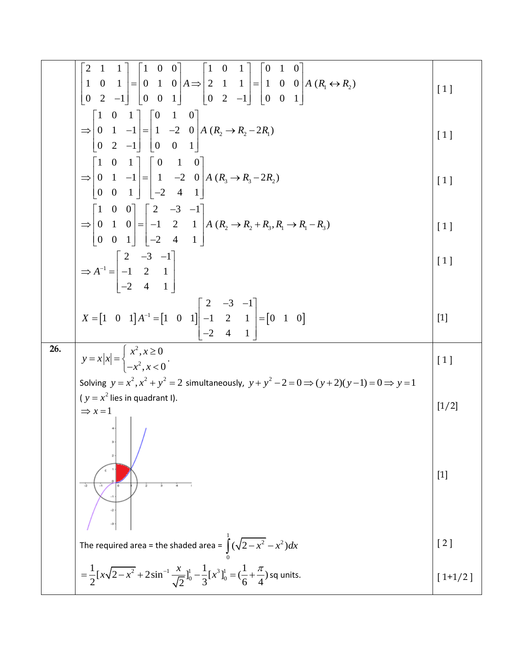$$
\begin{bmatrix}\n2 & 1 & 1 \\
1 & 0 & 1 \\
0 & 2 & -1\n\end{bmatrix} =\n\begin{bmatrix}\n1 & 0 & 0 \\
0 & 1 & 0 \\
0 & 0 & 1\n\end{bmatrix}\nA =\n\begin{bmatrix}\n1 & 0 & 1 \\
2 & 1 & 1 \\
0 & 2 & -1\n\end{bmatrix} =\n\begin{bmatrix}\n0 & 1 & 0 \\
1 & 0 & 0 \\
0 & 0 & 1\n\end{bmatrix}\nA =\n\begin{bmatrix}\n0 & 1 & 0 \\
0 & 1 & 0 \\
0 & 0 & 1\n\end{bmatrix}
$$
\n
$$
= \n\begin{bmatrix}\n1 & 0 & 1 \\
0 & 1 & -1 \\
0 & 1 & -1 \\
0 & 0 & 1\n\end{bmatrix} =\n\begin{bmatrix}\n0 & 1 & 0 \\
1 & -2 & 0 \\
-2 & 4 & 1\n\end{bmatrix}\nA =\n\begin{bmatrix}\n0 & 1 & 0 \\
0 & 1 & 0 \\
-2 & 4 & 1\n\end{bmatrix}
$$
\n
$$
= \n\begin{bmatrix}\n1 & 0 & 0 \\
0 & 1 & 0 \\
0 & 0 & 1\n\end{bmatrix} =\n\begin{bmatrix}\n2 & -3 & -1 \\
-1 & 2 & 1 \\
-2 & 4 & 1\n\end{bmatrix}\nA =\n\begin{bmatrix}\n2 & -3 & -1 \\
-1 & 2 & 1 \\
-2 & 4 & 1\n\end{bmatrix}
$$
\n
$$
X = \begin{bmatrix}\n1 & 0 & 1 \\
-1 & 2 & 1 \\
-2 & 4 & 1\n\end{bmatrix}
$$
\n
$$
X = \begin{bmatrix}\n1 & 0 & 1 \\
-1 & 2 & 1 \\
-2 & 4 & 1\n\end{bmatrix}
$$
\n
$$
X = \begin{bmatrix}\n1 & 0 & 1 \\
-1 & 2 & 1 \\
-2 & 4 & 1\n\end{bmatrix} =\n\begin{bmatrix}\n0 & 1 & 0 \\
0 & 1 & 0 \\
-2 & 4 & 1\n\end{bmatrix} =\n\begin{bmatrix}\n0 & 1 & 0 \\
0 & 1 & 0 \\
-2 & 1 & 1\n\end{bmatrix} =\n\begin{bmatrix}\n0 & 1 & 0 \\
0 & 1 & 0 \\
-2 & 1 & 1\n\end{bmatrix} =\n\begin{bmatrix}
$$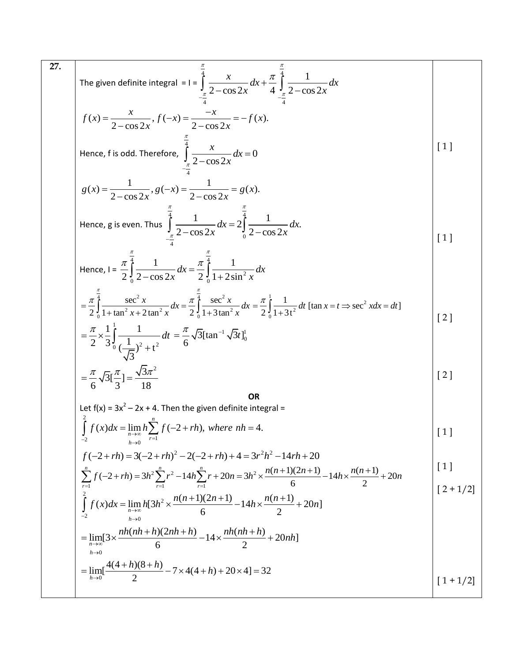$$
\int \frac{27.}{1000} \text{ The given definite integral } = 1 = \int_{-\frac{\pi}{4}}^{\frac{\pi}{4}} \frac{x}{2 - \cos 2x} dx + \frac{\pi}{4} \int_{-\frac{\pi}{4}}^{\frac{\pi}{4}} \frac{1}{2 - \cos 2x} dx
$$
\n
$$
f(x) = \frac{x}{2 - \cos 2x}, f(-x) = \frac{-x}{2 - \cos 2x} dx = -f(x).
$$
\nHence, f is odd. Therefore,  $\int_{-\frac{\pi}{4}}^{\frac{\pi}{4}} \frac{x}{2 - \cos 2x} dx = 0$ \n
$$
g(x) = \frac{1}{2 - \cos 2x}, g(-x) = \frac{1}{2 - \cos 2x} = g(x).
$$
\nHence, g is even. Thus,  $\int_{-\frac{\pi}{4}}^{\frac{\pi}{4}} \frac{1}{2 - \cos 2x} dx = 2 \int_{0}^{\frac{\pi}{4}} \frac{1}{2 - \cos 2x} dx.$ \n
$$
= \frac{\pi}{2} \int_{0}^{\frac{\pi}{4}} \frac{1}{1 - \cos 2x} dx = \frac{\pi}{2} \int_{0}^{\frac{\pi}{4}} \frac{1}{1 + 2 \sin^2 x} dx
$$
\n
$$
= \frac{\pi}{2} \int_{0}^{\frac{\pi}{4}} \frac{1}{1 - \sin^2 x + 2 \tan^2 x} dx = \frac{\pi}{2} \int_{0}^{\frac{\pi}{4}} \frac{1}{1 + 2 \sin^2 x} dx = \frac{\pi}{2} \int_{0}^{\frac{\pi}{4}} \frac{1}{1 + 3x} dt \text{ [tan } x = t \Rightarrow \sec^2 x dx = dt]
$$
\n
$$
= \frac{\pi}{2} \times \frac{1}{3} \int_{0}^{\frac{\pi}{4}} \frac{1}{\frac{1}{3}} dx
$$
\nLet f(x) = 3x^2 - 2x + 4. Then the given definite integral =
$$
\int_{-\frac{\pi}{2}}^{\frac{\pi}{2}} f(x) dx = \lim_{x \to 0} h \sum_{r=1}^{m} f(-2 + rh), \text{ where } nh = 4.
$$
\n
$$
f(-2 + rh) = 3(-2 + rh) - 2(-2 + rh) + 4 = 3r^2h^2 - 14rh + 20
$$
\n
$$
\int_{-\frac{\pi}{2}}
$$